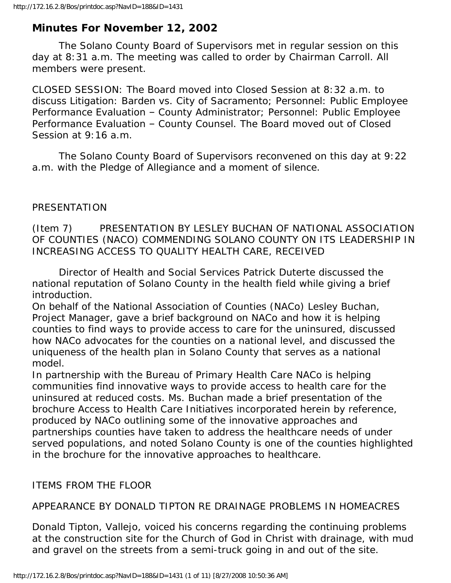## **Minutes For November 12, 2002**

 The Solano County Board of Supervisors met in regular session on this day at 8:31 a.m. The meeting was called to order by Chairman Carroll. All members were present.

CLOSED SESSION: The Board moved into Closed Session at 8:32 a.m. to discuss Litigation: Barden vs. City of Sacramento; Personnel: Public Employee Performance Evaluation – County Administrator; Personnel: Public Employee Performance Evaluation – County Counsel. The Board moved out of Closed Session at 9:16 a.m.

 The Solano County Board of Supervisors reconvened on this day at 9:22 a.m. with the Pledge of Allegiance and a moment of silence.

#### PRESENTATION

### (Item 7) PRESENTATION BY LESLEY BUCHAN OF NATIONAL ASSOCIATION OF COUNTIES (NACO) COMMENDING SOLANO COUNTY ON ITS LEADERSHIP IN INCREASING ACCESS TO QUALITY HEALTH CARE, RECEIVED

 Director of Health and Social Services Patrick Duterte discussed the national reputation of Solano County in the health field while giving a brief introduction.

On behalf of the National Association of Counties (NACo) Lesley Buchan, Project Manager, gave a brief background on NACo and how it is helping counties to find ways to provide access to care for the uninsured, discussed how NACo advocates for the counties on a national level, and discussed the uniqueness of the health plan in Solano County that serves as a national model.

In partnership with the Bureau of Primary Health Care NACo is helping communities find innovative ways to provide access to health care for the uninsured at reduced costs. Ms. Buchan made a brief presentation of the brochure Access to Health Care Initiatives incorporated herein by reference, produced by NACo outlining some of the innovative approaches and partnerships counties have taken to address the healthcare needs of under served populations, and noted Solano County is one of the counties highlighted in the brochure for the innovative approaches to healthcare.

### ITEMS FROM THE FLOOR

### APPEARANCE BY DONALD TIPTON RE DRAINAGE PROBLEMS IN HOMEACRES

Donald Tipton, Vallejo, voiced his concerns regarding the continuing problems at the construction site for the Church of God in Christ with drainage, with mud and gravel on the streets from a semi-truck going in and out of the site.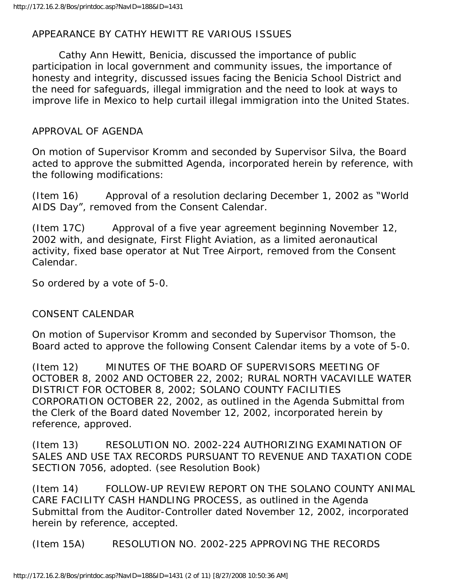# APPEARANCE BY CATHY HEWITT RE VARIOUS ISSUES

 Cathy Ann Hewitt, Benicia, discussed the importance of public participation in local government and community issues, the importance of honesty and integrity, discussed issues facing the Benicia School District and the need for safeguards, illegal immigration and the need to look at ways to improve life in Mexico to help curtail illegal immigration into the United States.

# APPROVAL OF AGENDA

On motion of Supervisor Kromm and seconded by Supervisor Silva, the Board acted to approve the submitted Agenda, incorporated herein by reference, with the following modifications:

(Item 16) Approval of a resolution declaring December 1, 2002 as "World AIDS Day", removed from the Consent Calendar.

(Item 17C) Approval of a five year agreement beginning November 12, 2002 with, and designate, First Flight Aviation, as a limited aeronautical activity, fixed base operator at Nut Tree Airport, removed from the Consent Calendar.

So ordered by a vote of 5-0.

# CONSENT CALENDAR

On motion of Supervisor Kromm and seconded by Supervisor Thomson, the Board acted to approve the following Consent Calendar items by a vote of 5-0.

(Item 12) MINUTES OF THE BOARD OF SUPERVISORS MEETING OF OCTOBER 8, 2002 AND OCTOBER 22, 2002; RURAL NORTH VACAVILLE WATER DISTRICT FOR OCTOBER 8, 2002; SOLANO COUNTY FACILITIES CORPORATION OCTOBER 22, 2002, as outlined in the Agenda Submittal from the Clerk of the Board dated November 12, 2002, incorporated herein by reference, approved.

(Item 13) RESOLUTION NO. 2002-224 AUTHORIZING EXAMINATION OF SALES AND USE TAX RECORDS PURSUANT TO REVENUE AND TAXATION CODE SECTION 7056, adopted. (see Resolution Book)

(Item 14) FOLLOW-UP REVIEW REPORT ON THE SOLANO COUNTY ANIMAL CARE FACILITY CASH HANDLING PROCESS, as outlined in the Agenda Submittal from the Auditor-Controller dated November 12, 2002, incorporated herein by reference, accepted.

(Item 15A) RESOLUTION NO. 2002-225 APPROVING THE RECORDS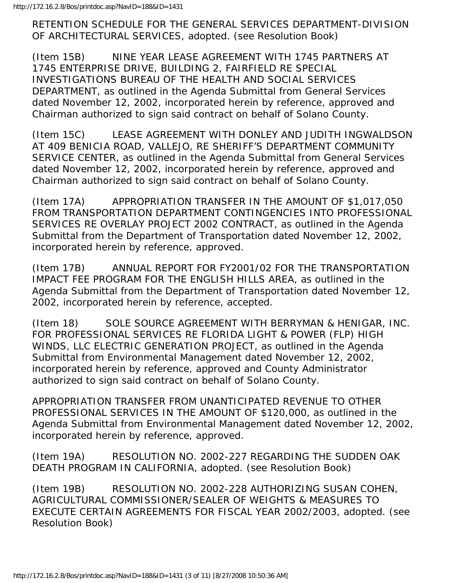RETENTION SCHEDULE FOR THE GENERAL SERVICES DEPARTMENT-DIVISION OF ARCHITECTURAL SERVICES, adopted. (see Resolution Book)

(Item 15B) NINE YEAR LEASE AGREEMENT WITH 1745 PARTNERS AT 1745 ENTERPRISE DRIVE, BUILDING 2, FAIRFIELD RE SPECIAL INVESTIGATIONS BUREAU OF THE HEALTH AND SOCIAL SERVICES DEPARTMENT, as outlined in the Agenda Submittal from General Services dated November 12, 2002, incorporated herein by reference, approved and Chairman authorized to sign said contract on behalf of Solano County.

(Item 15C) LEASE AGREEMENT WITH DONLEY AND JUDITH INGWALDSON AT 409 BENICIA ROAD, VALLEJO, RE SHERIFF'S DEPARTMENT COMMUNITY SERVICE CENTER, as outlined in the Agenda Submittal from General Services dated November 12, 2002, incorporated herein by reference, approved and Chairman authorized to sign said contract on behalf of Solano County.

(Item 17A) APPROPRIATION TRANSFER IN THE AMOUNT OF \$1,017,050 FROM TRANSPORTATION DEPARTMENT CONTINGENCIES INTO PROFESSIONAL SERVICES RE OVERLAY PROJECT 2002 CONTRACT, as outlined in the Agenda Submittal from the Department of Transportation dated November 12, 2002, incorporated herein by reference, approved.

(Item 17B) ANNUAL REPORT FOR FY2001/02 FOR THE TRANSPORTATION IMPACT FEE PROGRAM FOR THE ENGLISH HILLS AREA, as outlined in the Agenda Submittal from the Department of Transportation dated November 12, 2002, incorporated herein by reference, accepted.

(Item 18) SOLE SOURCE AGREEMENT WITH BERRYMAN & HENIGAR, INC. FOR PROFESSIONAL SERVICES RE FLORIDA LIGHT & POWER (FLP) HIGH WINDS, LLC ELECTRIC GENERATION PROJECT, as outlined in the Agenda Submittal from Environmental Management dated November 12, 2002, incorporated herein by reference, approved and County Administrator authorized to sign said contract on behalf of Solano County.

APPROPRIATION TRANSFER FROM UNANTICIPATED REVENUE TO OTHER PROFESSIONAL SERVICES IN THE AMOUNT OF \$120,000, as outlined in the Agenda Submittal from Environmental Management dated November 12, 2002, incorporated herein by reference, approved.

(Item 19A) RESOLUTION NO. 2002-227 REGARDING THE SUDDEN OAK DEATH PROGRAM IN CALIFORNIA, adopted. (see Resolution Book)

(Item 19B) RESOLUTION NO. 2002-228 AUTHORIZING SUSAN COHEN, AGRICULTURAL COMMISSIONER/SEALER OF WEIGHTS & MEASURES TO EXECUTE CERTAIN AGREEMENTS FOR FISCAL YEAR 2002/2003, adopted. (see Resolution Book)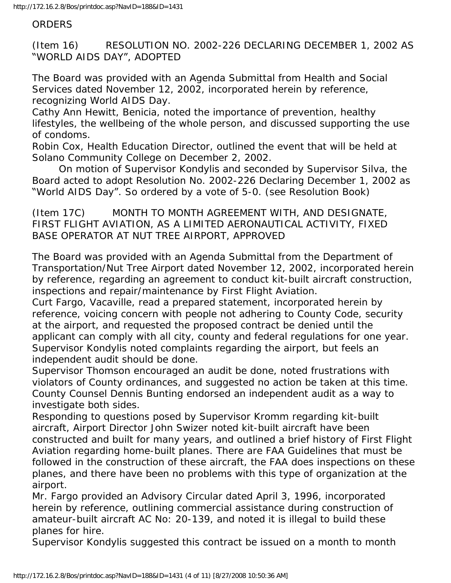#### ORDERS

(Item 16) RESOLUTION NO. 2002-226 DECLARING DECEMBER 1, 2002 AS "WORLD AIDS DAY", ADOPTED

The Board was provided with an Agenda Submittal from Health and Social Services dated November 12, 2002, incorporated herein by reference, recognizing World AIDS Day.

Cathy Ann Hewitt, Benicia, noted the importance of prevention, healthy lifestyles, the wellbeing of the whole person, and discussed supporting the use of condoms.

Robin Cox, Health Education Director, outlined the event that will be held at Solano Community College on December 2, 2002.

 On motion of Supervisor Kondylis and seconded by Supervisor Silva, the Board acted to adopt Resolution No. 2002-226 Declaring December 1, 2002 as "World AIDS Day". So ordered by a vote of 5-0. (see Resolution Book)

(Item 17C) MONTH TO MONTH AGREEMENT WITH, AND DESIGNATE, FIRST FLIGHT AVIATION, AS A LIMITED AERONAUTICAL ACTIVITY, FIXED BASE OPERATOR AT NUT TREE AIRPORT, APPROVED

The Board was provided with an Agenda Submittal from the Department of Transportation/Nut Tree Airport dated November 12, 2002, incorporated herein by reference, regarding an agreement to conduct kit-built aircraft construction, inspections and repair/maintenance by First Flight Aviation.

Curt Fargo, Vacaville, read a prepared statement, incorporated herein by reference, voicing concern with people not adhering to County Code, security at the airport, and requested the proposed contract be denied until the applicant can comply with all city, county and federal regulations for one year. Supervisor Kondylis noted complaints regarding the airport, but feels an independent audit should be done.

Supervisor Thomson encouraged an audit be done, noted frustrations with violators of County ordinances, and suggested no action be taken at this time. County Counsel Dennis Bunting endorsed an independent audit as a way to investigate both sides.

Responding to questions posed by Supervisor Kromm regarding kit-built aircraft, Airport Director John Swizer noted kit-built aircraft have been constructed and built for many years, and outlined a brief history of First Flight Aviation regarding home-built planes. There are FAA Guidelines that must be followed in the construction of these aircraft, the FAA does inspections on these planes, and there have been no problems with this type of organization at the airport.

Mr. Fargo provided an Advisory Circular dated April 3, 1996, incorporated herein by reference, outlining commercial assistance during construction of amateur-built aircraft AC No: 20-139, and noted it is illegal to build these planes for hire.

Supervisor Kondylis suggested this contract be issued on a month to month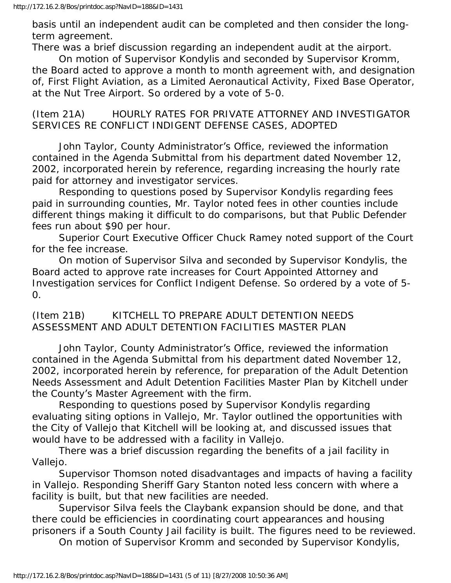basis until an independent audit can be completed and then consider the longterm agreement.

There was a brief discussion regarding an independent audit at the airport.

 On motion of Supervisor Kondylis and seconded by Supervisor Kromm, the Board acted to approve a month to month agreement with, and designation of, First Flight Aviation, as a Limited Aeronautical Activity, Fixed Base Operator, at the Nut Tree Airport. So ordered by a vote of 5-0.

(Item 21A) HOURLY RATES FOR PRIVATE ATTORNEY AND INVESTIGATOR SERVICES RE CONFLICT INDIGENT DEFENSE CASES, ADOPTED

 John Taylor, County Administrator's Office, reviewed the information contained in the Agenda Submittal from his department dated November 12, 2002, incorporated herein by reference, regarding increasing the hourly rate paid for attorney and investigator services.

 Responding to questions posed by Supervisor Kondylis regarding fees paid in surrounding counties, Mr. Taylor noted fees in other counties include different things making it difficult to do comparisons, but that Public Defender fees run about \$90 per hour.

 Superior Court Executive Officer Chuck Ramey noted support of the Court for the fee increase.

 On motion of Supervisor Silva and seconded by Supervisor Kondylis, the Board acted to approve rate increases for Court Appointed Attorney and Investigation services for Conflict Indigent Defense. So ordered by a vote of 5- 0.

### (Item 21B) KITCHELL TO PREPARE ADULT DETENTION NEEDS ASSESSMENT AND ADULT DETENTION FACILITIES MASTER PLAN

 John Taylor, County Administrator's Office, reviewed the information contained in the Agenda Submittal from his department dated November 12, 2002, incorporated herein by reference, for preparation of the Adult Detention Needs Assessment and Adult Detention Facilities Master Plan by Kitchell under the County's Master Agreement with the firm.

 Responding to questions posed by Supervisor Kondylis regarding evaluating siting options in Vallejo, Mr. Taylor outlined the opportunities with the City of Vallejo that Kitchell will be looking at, and discussed issues that would have to be addressed with a facility in Vallejo.

 There was a brief discussion regarding the benefits of a jail facility in Vallejo.

 Supervisor Thomson noted disadvantages and impacts of having a facility in Vallejo. Responding Sheriff Gary Stanton noted less concern with where a facility is built, but that new facilities are needed.

 Supervisor Silva feels the Claybank expansion should be done, and that there could be efficiencies in coordinating court appearances and housing prisoners if a South County Jail facility is built. The figures need to be reviewed.

On motion of Supervisor Kromm and seconded by Supervisor Kondylis,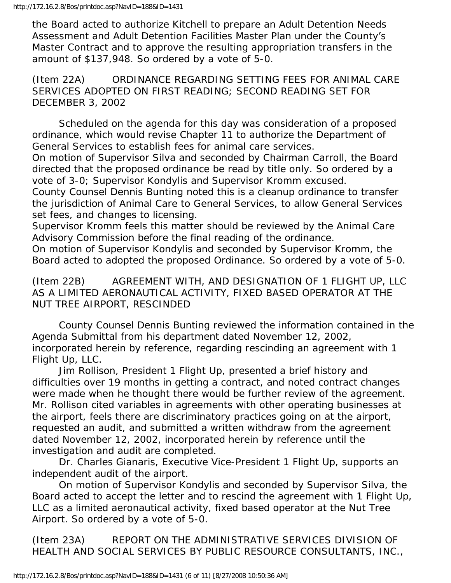the Board acted to authorize Kitchell to prepare an Adult Detention Needs Assessment and Adult Detention Facilities Master Plan under the County's Master Contract and to approve the resulting appropriation transfers in the amount of \$137,948. So ordered by a vote of 5-0.

(Item 22A) ORDINANCE REGARDING SETTING FEES FOR ANIMAL CARE SERVICES ADOPTED ON FIRST READING; SECOND READING SET FOR DECEMBER 3, 2002

 Scheduled on the agenda for this day was consideration of a proposed ordinance, which would revise Chapter 11 to authorize the Department of General Services to establish fees for animal care services.

On motion of Supervisor Silva and seconded by Chairman Carroll, the Board directed that the proposed ordinance be read by title only. So ordered by a vote of 3-0; Supervisor Kondylis and Supervisor Kromm excused.

County Counsel Dennis Bunting noted this is a cleanup ordinance to transfer the jurisdiction of Animal Care to General Services, to allow General Services set fees, and changes to licensing.

Supervisor Kromm feels this matter should be reviewed by the Animal Care Advisory Commission before the final reading of the ordinance.

On motion of Supervisor Kondylis and seconded by Supervisor Kromm, the Board acted to adopted the proposed Ordinance. So ordered by a vote of 5-0.

(Item 22B) AGREEMENT WITH, AND DESIGNATION OF 1 FLIGHT UP, LLC AS A LIMITED AERONAUTICAL ACTIVITY, FIXED BASED OPERATOR AT THE NUT TREE AIRPORT, RESCINDED

 County Counsel Dennis Bunting reviewed the information contained in the Agenda Submittal from his department dated November 12, 2002, incorporated herein by reference, regarding rescinding an agreement with 1 Flight Up, LLC.

 Jim Rollison, President 1 Flight Up, presented a brief history and difficulties over 19 months in getting a contract, and noted contract changes were made when he thought there would be further review of the agreement. Mr. Rollison cited variables in agreements with other operating businesses at the airport, feels there are discriminatory practices going on at the airport, requested an audit, and submitted a written withdraw from the agreement dated November 12, 2002, incorporated herein by reference until the investigation and audit are completed.

 Dr. Charles Gianaris, Executive Vice-President 1 Flight Up, supports an independent audit of the airport.

 On motion of Supervisor Kondylis and seconded by Supervisor Silva, the Board acted to accept the letter and to rescind the agreement with 1 Flight Up, LLC as a limited aeronautical activity, fixed based operator at the Nut Tree Airport. So ordered by a vote of 5-0.

(Item 23A) REPORT ON THE ADMINISTRATIVE SERVICES DIVISION OF HEALTH AND SOCIAL SERVICES BY PUBLIC RESOURCE CONSULTANTS, INC.,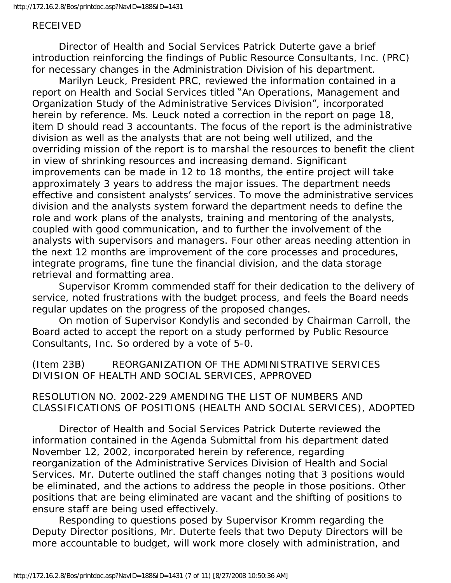#### RECEIVED

 Director of Health and Social Services Patrick Duterte gave a brief introduction reinforcing the findings of Public Resource Consultants, Inc. (PRC) for necessary changes in the Administration Division of his department.

 Marilyn Leuck, President PRC, reviewed the information contained in a report on Health and Social Services titled "An Operations, Management and Organization Study of the Administrative Services Division", incorporated herein by reference. Ms. Leuck noted a correction in the report on page 18, item D should read 3 accountants. The focus of the report is the administrative division as well as the analysts that are not being well utilized, and the overriding mission of the report is to marshal the resources to benefit the client in view of shrinking resources and increasing demand. Significant improvements can be made in 12 to 18 months, the entire project will take approximately 3 years to address the major issues. The department needs effective and consistent analysts' services. To move the administrative services division and the analysts system forward the department needs to define the role and work plans of the analysts, training and mentoring of the analysts, coupled with good communication, and to further the involvement of the analysts with supervisors and managers. Four other areas needing attention in the next 12 months are improvement of the core processes and procedures, integrate programs, fine tune the financial division, and the data storage retrieval and formatting area.

 Supervisor Kromm commended staff for their dedication to the delivery of service, noted frustrations with the budget process, and feels the Board needs regular updates on the progress of the proposed changes.

 On motion of Supervisor Kondylis and seconded by Chairman Carroll, the Board acted to accept the report on a study performed by Public Resource Consultants, Inc. So ordered by a vote of 5-0.

(Item 23B) REORGANIZATION OF THE ADMINISTRATIVE SERVICES DIVISION OF HEALTH AND SOCIAL SERVICES, APPROVED

RESOLUTION NO. 2002-229 AMENDING THE LIST OF NUMBERS AND CLASSIFICATIONS OF POSITIONS (HEALTH AND SOCIAL SERVICES), ADOPTED

 Director of Health and Social Services Patrick Duterte reviewed the information contained in the Agenda Submittal from his department dated November 12, 2002, incorporated herein by reference, regarding reorganization of the Administrative Services Division of Health and Social Services. Mr. Duterte outlined the staff changes noting that 3 positions would be eliminated, and the actions to address the people in those positions. Other positions that are being eliminated are vacant and the shifting of positions to ensure staff are being used effectively.

 Responding to questions posed by Supervisor Kromm regarding the Deputy Director positions, Mr. Duterte feels that two Deputy Directors will be more accountable to budget, will work more closely with administration, and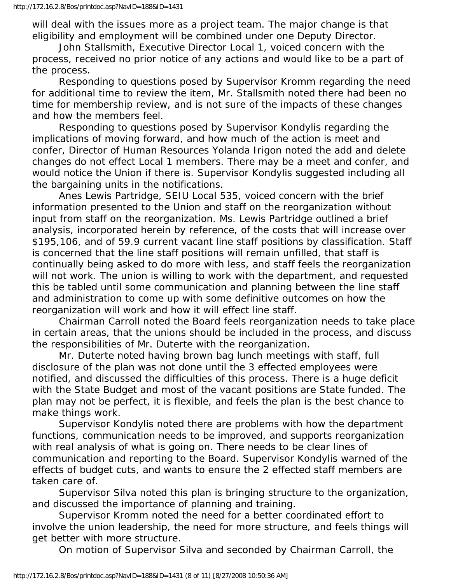will deal with the issues more as a project team. The major change is that eligibility and employment will be combined under one Deputy Director.

 John Stallsmith, Executive Director Local 1, voiced concern with the process, received no prior notice of any actions and would like to be a part of the process.

 Responding to questions posed by Supervisor Kromm regarding the need for additional time to review the item, Mr. Stallsmith noted there had been no time for membership review, and is not sure of the impacts of these changes and how the members feel.

 Responding to questions posed by Supervisor Kondylis regarding the implications of moving forward, and how much of the action is meet and confer, Director of Human Resources Yolanda Irigon noted the add and delete changes do not effect Local 1 members. There may be a meet and confer, and would notice the Union if there is. Supervisor Kondylis suggested including all the bargaining units in the notifications.

 Anes Lewis Partridge, SEIU Local 535, voiced concern with the brief information presented to the Union and staff on the reorganization without input from staff on the reorganization. Ms. Lewis Partridge outlined a brief analysis, incorporated herein by reference, of the costs that will increase over \$195,106, and of 59.9 current vacant line staff positions by classification. Staff is concerned that the line staff positions will remain unfilled, that staff is continually being asked to do more with less, and staff feels the reorganization will not work. The union is willing to work with the department, and requested this be tabled until some communication and planning between the line staff and administration to come up with some definitive outcomes on how the reorganization will work and how it will effect line staff.

 Chairman Carroll noted the Board feels reorganization needs to take place in certain areas, that the unions should be included in the process, and discuss the responsibilities of Mr. Duterte with the reorganization.

 Mr. Duterte noted having brown bag lunch meetings with staff, full disclosure of the plan was not done until the 3 effected employees were notified, and discussed the difficulties of this process. There is a huge deficit with the State Budget and most of the vacant positions are State funded. The plan may not be perfect, it is flexible, and feels the plan is the best chance to make things work.

 Supervisor Kondylis noted there are problems with how the department functions, communication needs to be improved, and supports reorganization with real analysis of what is going on. There needs to be clear lines of communication and reporting to the Board. Supervisor Kondylis warned of the effects of budget cuts, and wants to ensure the 2 effected staff members are taken care of.

 Supervisor Silva noted this plan is bringing structure to the organization, and discussed the importance of planning and training.

 Supervisor Kromm noted the need for a better coordinated effort to involve the union leadership, the need for more structure, and feels things will get better with more structure.

On motion of Supervisor Silva and seconded by Chairman Carroll, the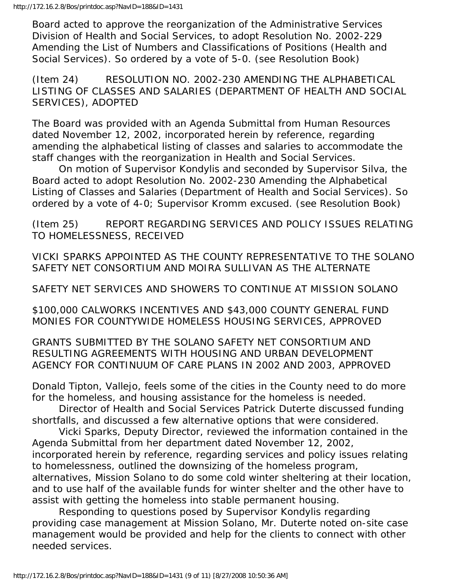Board acted to approve the reorganization of the Administrative Services Division of Health and Social Services, to adopt Resolution No. 2002-229 Amending the List of Numbers and Classifications of Positions (Health and Social Services). So ordered by a vote of 5-0. (see Resolution Book)

(Item 24) RESOLUTION NO. 2002-230 AMENDING THE ALPHABETICAL LISTING OF CLASSES AND SALARIES (DEPARTMENT OF HEALTH AND SOCIAL SERVICES), ADOPTED

The Board was provided with an Agenda Submittal from Human Resources dated November 12, 2002, incorporated herein by reference, regarding amending the alphabetical listing of classes and salaries to accommodate the staff changes with the reorganization in Health and Social Services.

 On motion of Supervisor Kondylis and seconded by Supervisor Silva, the Board acted to adopt Resolution No. 2002-230 Amending the Alphabetical Listing of Classes and Salaries (Department of Health and Social Services). So ordered by a vote of 4-0; Supervisor Kromm excused. (see Resolution Book)

(Item 25) REPORT REGARDING SERVICES AND POLICY ISSUES RELATING TO HOMELESSNESS, RECEIVED

VICKI SPARKS APPOINTED AS THE COUNTY REPRESENTATIVE TO THE SOLANO SAFETY NET CONSORTIUM AND MOIRA SULLIVAN AS THE ALTERNATE

SAFETY NET SERVICES AND SHOWERS TO CONTINUE AT MISSION SOLANO

\$100,000 CALWORKS INCENTIVES AND \$43,000 COUNTY GENERAL FUND MONIES FOR COUNTYWIDE HOMELESS HOUSING SERVICES, APPROVED

GRANTS SUBMITTED BY THE SOLANO SAFETY NET CONSORTIUM AND RESULTING AGREEMENTS WITH HOUSING AND URBAN DEVELOPMENT AGENCY FOR CONTINUUM OF CARE PLANS IN 2002 AND 2003, APPROVED

Donald Tipton, Vallejo, feels some of the cities in the County need to do more for the homeless, and housing assistance for the homeless is needed.

 Director of Health and Social Services Patrick Duterte discussed funding shortfalls, and discussed a few alternative options that were considered.

 Vicki Sparks, Deputy Director, reviewed the information contained in the Agenda Submittal from her department dated November 12, 2002, incorporated herein by reference, regarding services and policy issues relating to homelessness, outlined the downsizing of the homeless program,

alternatives, Mission Solano to do some cold winter sheltering at their location, and to use half of the available funds for winter shelter and the other have to assist with getting the homeless into stable permanent housing.

 Responding to questions posed by Supervisor Kondylis regarding providing case management at Mission Solano, Mr. Duterte noted on-site case management would be provided and help for the clients to connect with other needed services.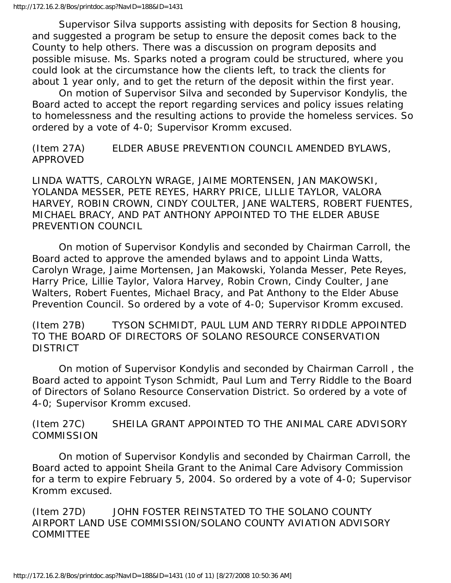Supervisor Silva supports assisting with deposits for Section 8 housing, and suggested a program be setup to ensure the deposit comes back to the County to help others. There was a discussion on program deposits and possible misuse. Ms. Sparks noted a program could be structured, where you could look at the circumstance how the clients left, to track the clients for about 1 year only, and to get the return of the deposit within the first year.

 On motion of Supervisor Silva and seconded by Supervisor Kondylis, the Board acted to accept the report regarding services and policy issues relating to homelessness and the resulting actions to provide the homeless services. So ordered by a vote of 4-0; Supervisor Kromm excused.

(Item 27A) ELDER ABUSE PREVENTION COUNCIL AMENDED BYLAWS, APPROVED

LINDA WATTS, CAROLYN WRAGE, JAIME MORTENSEN, JAN MAKOWSKI, YOLANDA MESSER, PETE REYES, HARRY PRICE, LILLIE TAYLOR, VALORA HARVEY, ROBIN CROWN, CINDY COULTER, JANE WALTERS, ROBERT FUENTES, MICHAEL BRACY, AND PAT ANTHONY APPOINTED TO THE ELDER ABUSE PREVENTION COUNCIL

 On motion of Supervisor Kondylis and seconded by Chairman Carroll, the Board acted to approve the amended bylaws and to appoint Linda Watts, Carolyn Wrage, Jaime Mortensen, Jan Makowski, Yolanda Messer, Pete Reyes, Harry Price, Lillie Taylor, Valora Harvey, Robin Crown, Cindy Coulter, Jane Walters, Robert Fuentes, Michael Bracy, and Pat Anthony to the Elder Abuse Prevention Council. So ordered by a vote of 4-0; Supervisor Kromm excused.

(Item 27B) TYSON SCHMIDT, PAUL LUM AND TERRY RIDDLE APPOINTED TO THE BOARD OF DIRECTORS OF SOLANO RESOURCE CONSERVATION DISTRICT

 On motion of Supervisor Kondylis and seconded by Chairman Carroll , the Board acted to appoint Tyson Schmidt, Paul Lum and Terry Riddle to the Board of Directors of Solano Resource Conservation District. So ordered by a vote of 4-0; Supervisor Kromm excused.

(Item 27C) SHEILA GRANT APPOINTED TO THE ANIMAL CARE ADVISORY **COMMISSION** 

 On motion of Supervisor Kondylis and seconded by Chairman Carroll, the Board acted to appoint Sheila Grant to the Animal Care Advisory Commission for a term to expire February 5, 2004. So ordered by a vote of 4-0; Supervisor Kromm excused.

(Item 27D) JOHN FOSTER REINSTATED TO THE SOLANO COUNTY AIRPORT LAND USE COMMISSION/SOLANO COUNTY AVIATION ADVISORY COMMITTEE